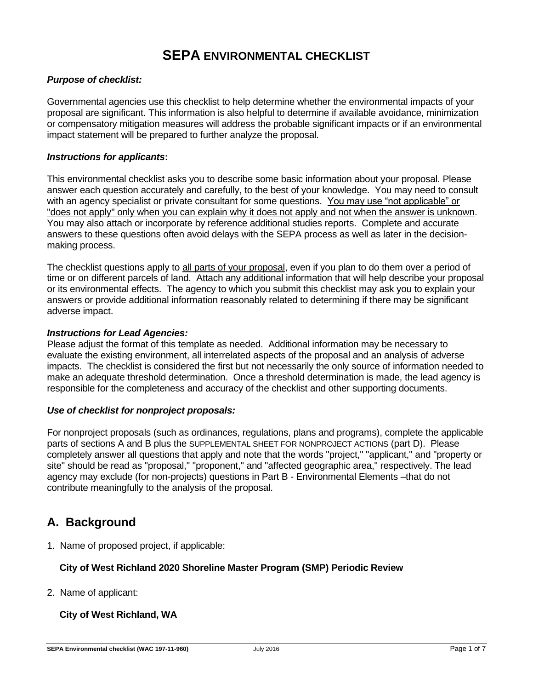# **SEPA ENVIRONMENTAL CHECKLIST**

## *Purpose of checklist:*

Governmental agencies use this checklist to help determine whether the environmental impacts of your proposal are significant. This information is also helpful to determine if available avoidance, minimization or compensatory mitigation measures will address the probable significant impacts or if an environmental impact statement will be prepared to further analyze the proposal.

#### *Instructions for applicants***:**

This environmental checklist asks you to describe some basic information about your proposal. Please answer each question accurately and carefully, to the best of your knowledge. You may need to consult with an agency specialist or private consultant for some questions. You may use "not applicable" or "does not apply" only when you can explain why it does not apply and not when the answer is unknown. You may also attach or incorporate by reference additional studies reports. Complete and accurate answers to these questions often avoid delays with the SEPA process as well as later in the decisionmaking process.

The checklist questions apply to all parts of your proposal, even if you plan to do them over a period of time or on different parcels of land. Attach any additional information that will help describe your proposal or its environmental effects. The agency to which you submit this checklist may ask you to explain your answers or provide additional information reasonably related to determining if there may be significant adverse impact.

#### *Instructions for Lead Agencies:*

Please adjust the format of this template as needed. Additional information may be necessary to evaluate the existing environment, all interrelated aspects of the proposal and an analysis of adverse impacts. The checklist is considered the first but not necessarily the only source of information needed to make an adequate threshold determination. Once a threshold determination is made, the lead agency is responsible for the completeness and accuracy of the checklist and other supporting documents.

### *Use of checklist for nonproject proposals:*

For nonproject proposals (such as ordinances, regulations, plans and programs), complete the applicable parts of sections A and B plus the SUPPLEMENTAL SHEET FOR NONPROJECT ACTIONS (part D). Please completely answer all questions that apply and note that the words "project," "applicant," and "property or site" should be read as "proposal," "proponent," and "affected geographic area," respectively. The lead agency may exclude (for non-projects) questions in Part B - Environmental Elements –that do not contribute meaningfully to the analysis of the proposal.

## **A. Background**

1. Name of proposed project, if applicable:

### **City of West Richland 2020 Shoreline Master Program (SMP) Periodic Review**

2. Name of applicant:

## **City of West Richland, WA**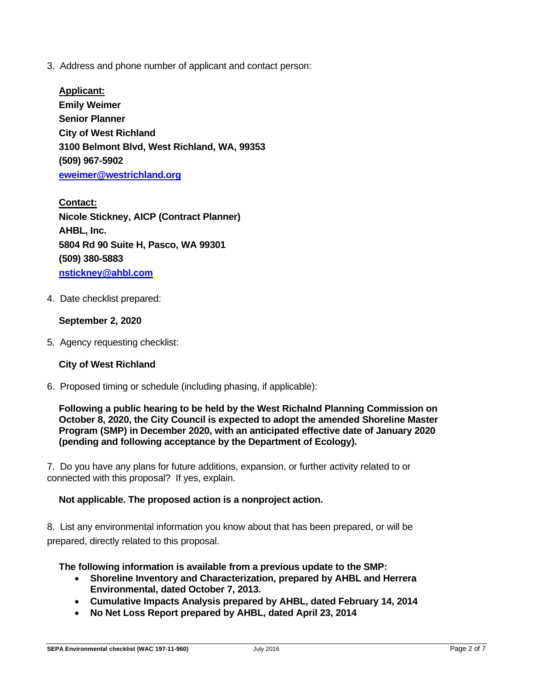3. Address and phone number of applicant and contact person:

**Applicant: Emily Weimer Senior Planner City of West Richland 3100 Belmont Blvd, West Richland, WA, 99353 (509) 967-5902 [eweimer@westrichland.org](mailto:eweimer@westrichland.org)**

**Contact: Nicole Stickney, AICP (Contract Planner) AHBL, Inc. 5804 Rd 90 Suite H, Pasco, WA 99301 (509) 380-5883 [nstickney@ahbl.com](mailto:nstickney@ahbl.com)**

4. Date checklist prepared:

## **September 2, 2020**

5. Agency requesting checklist:

## **City of West Richland**

6. Proposed timing or schedule (including phasing, if applicable):

**Following a public hearing to be held by the West Richalnd Planning Commission on October 8, 2020, the City Council is expected to adopt the amended Shoreline Master Program (SMP) in December 2020, with an anticipated effective date of January 2020 (pending and following acceptance by the Department of Ecology).**

7. Do you have any plans for future additions, expansion, or further activity related to or connected with this proposal? If yes, explain.

### **Not applicable. The proposed action is a nonproject action.**

8. List any environmental information you know about that has been prepared, or will be prepared, directly related to this proposal.

### **The following information is available from a previous update to the SMP:**

- **Shoreline Inventory and Characterization, prepared by AHBL and Herrera Environmental, dated October 7, 2013.**
- **Cumulative Impacts Analysis prepared by AHBL, dated February 14, 2014**
- **No Net Loss Report prepared by AHBL, dated April 23, 2014**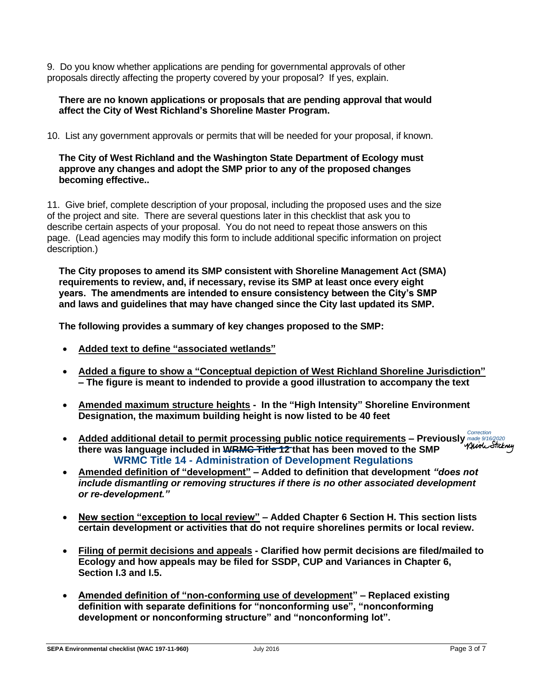9. Do you know whether applications are pending for governmental approvals of other proposals directly affecting the property covered by your proposal? If yes, explain.

## **There are no known applications or proposals that are pending approval that would affect the City of West Richland's Shoreline Master Program.**

10. List any government approvals or permits that will be needed for your proposal, if known.

## **The City of West Richland and the Washington State Department of Ecology must approve any changes and adopt the SMP prior to any of the proposed changes becoming effective..**

11. Give brief, complete description of your proposal, including the proposed uses and the size of the project and site. There are several questions later in this checklist that ask you to describe certain aspects of your proposal. You do not need to repeat those answers on this page. (Lead agencies may modify this form to include additional specific information on project description.)

**The City proposes to amend its SMP consistent with Shoreline Management Act (SMA) requirements to review, and, if necessary, revise its SMP at least once every eight years. The amendments are intended to ensure consistency between the City's SMP and laws and guidelines that may have changed since the City last updated its SMP.**

**The following provides a summary of key changes proposed to the SMP:**

- **Added text to define "associated wetlands"**
- **Added a figure to show a "Conceptual depiction of West Richland Shoreline Jurisdiction" – The figure is meant to indended to provide a good illustration to accompany the text**
- **Amended maximum structure heights - In the "High Intensity" Shoreline Environment Designation, the maximum building height is now listed to be 40 feet**
- **Added additional detail to permit processing public notice requirements – Previously WRMC Title 14 Administration of Development Regulations** Correction made 9/16/2020**there was language included in WRMC Title 12 that has been moved to the SMP**
- **Amended definition of "development" – Added to definition that development** *"does not include dismantling or removing structures if there is no other associated development or re-development."*
- **New section "exception to local review" – Added Chapter 6 Section H. This section lists certain development or activities that do not require shorelines permits or local review.**
- **Filing of permit decisions and appeals - Clarified how permit decisions are filed/mailed to Ecology and how appeals may be filed for SSDP, CUP and Variances in Chapter 6, Section I.3 and I.5.**
- **Amended definition of "non-conforming use of development" – Replaced existing definition with separate definitions for "nonconforming use", "nonconforming development or nonconforming structure" and "nonconforming lot".**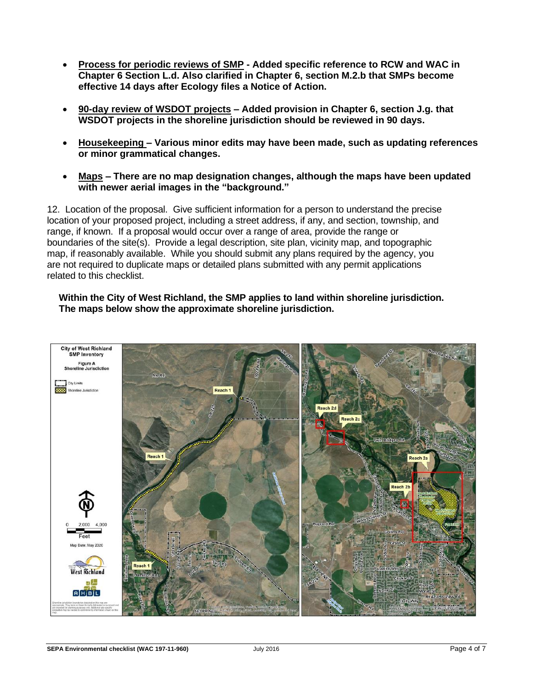- **Process for periodic reviews of SMP - Added specific reference to RCW and WAC in Chapter 6 Section L.d. Also clarified in Chapter 6, section M.2.b that SMPs become effective 14 days after Ecology files a Notice of Action.**
- **90-day review of WSDOT projects – Added provision in Chapter 6, section J.g. that WSDOT projects in the shoreline jurisdiction should be reviewed in 90 days.**
- **Housekeeping – Various minor edits may have been made, such as updating references or minor grammatical changes.**
- **Maps – There are no map designation changes, although the maps have been updated with newer aerial images in the "background."**

12. Location of the proposal. Give sufficient information for a person to understand the precise location of your proposed project, including a street address, if any, and section, township, and range, if known. If a proposal would occur over a range of area, provide the range or boundaries of the site(s). Provide a legal description, site plan, vicinity map, and topographic map, if reasonably available. While you should submit any plans required by the agency, you are not required to duplicate maps or detailed plans submitted with any permit applications related to this checklist.

## **Within the City of West Richland, the SMP applies to land within shoreline jurisdiction. The maps below show the approximate shoreline jurisdiction.**

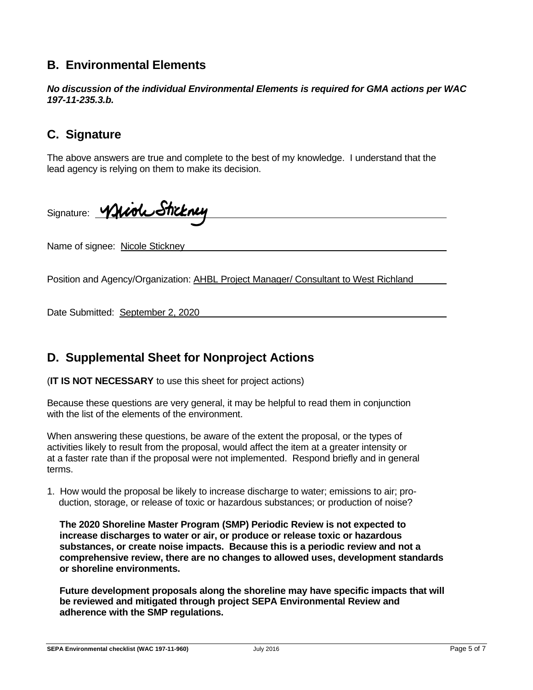# **B. Environmental Elements**

*No discussion of the individual Environmental Elements is required for GMA actions per WAC 197-11-235.3.b.*

# **C. Signature**

The above answers are true and complete to the best of my knowledge. I understand that the lead agency is relying on them to make its decision.

Signature: Whiol Sticknes

Name of signee: Nicole Stickney

Position and Agency/Organization: AHBL Project Manager/ Consultant to West Richland

Date Submitted: September 2, 2020

## **D. Supplemental Sheet for Nonproject Actions**

(**IT IS NOT NECESSARY** to use this sheet for project actions)

Because these questions are very general, it may be helpful to read them in conjunction with the list of the elements of the environment.

When answering these questions, be aware of the extent the proposal, or the types of activities likely to result from the proposal, would affect the item at a greater intensity or at a faster rate than if the proposal were not implemented. Respond briefly and in general terms.

1. How would the proposal be likely to increase discharge to water; emissions to air; production, storage, or release of toxic or hazardous substances; or production of noise?

**The 2020 Shoreline Master Program (SMP) Periodic Review is not expected to increase discharges to water or air, or produce or release toxic or hazardous substances, or create noise impacts. Because this is a periodic review and not a comprehensive review, there are no changes to allowed uses, development standards or shoreline environments.**

**Future development proposals along the shoreline may have specific impacts that will be reviewed and mitigated through project SEPA Environmental Review and adherence with the SMP regulations.**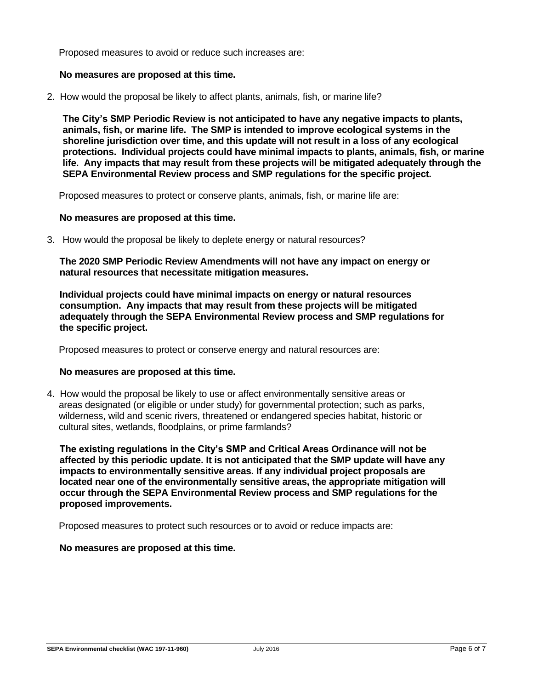Proposed measures to avoid or reduce such increases are:

## **No measures are proposed at this time.**

2. How would the proposal be likely to affect plants, animals, fish, or marine life?

**The City's SMP Periodic Review is not anticipated to have any negative impacts to plants, animals, fish, or marine life. The SMP is intended to improve ecological systems in the shoreline jurisdiction over time, and this update will not result in a loss of any ecological protections. Individual projects could have minimal impacts to plants, animals, fish, or marine life. Any impacts that may result from these projects will be mitigated adequately through the SEPA Environmental Review process and SMP regulations for the specific project.**

Proposed measures to protect or conserve plants, animals, fish, or marine life are:

#### **No measures are proposed at this time.**

3. How would the proposal be likely to deplete energy or natural resources?

**The 2020 SMP Periodic Review Amendments will not have any impact on energy or natural resources that necessitate mitigation measures.**

**Individual projects could have minimal impacts on energy or natural resources consumption. Any impacts that may result from these projects will be mitigated adequately through the SEPA Environmental Review process and SMP regulations for the specific project.**

Proposed measures to protect or conserve energy and natural resources are:

### **No measures are proposed at this time.**

4. How would the proposal be likely to use or affect environmentally sensitive areas or areas designated (or eligible or under study) for governmental protection; such as parks, wilderness, wild and scenic rivers, threatened or endangered species habitat, historic or cultural sites, wetlands, floodplains, or prime farmlands?

**The existing regulations in the City's SMP and Critical Areas Ordinance will not be affected by this periodic update. It is not anticipated that the SMP update will have any impacts to environmentally sensitive areas. If any individual project proposals are located near one of the environmentally sensitive areas, the appropriate mitigation will occur through the SEPA Environmental Review process and SMP regulations for the proposed improvements.**

Proposed measures to protect such resources or to avoid or reduce impacts are:

### **No measures are proposed at this time.**